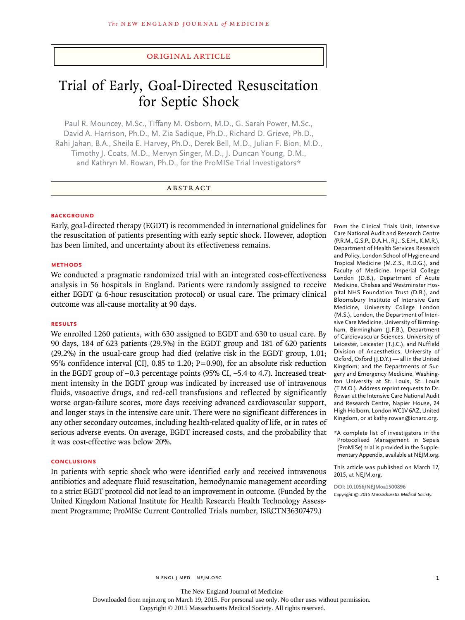## original article

# Trial of Early, Goal-Directed Resuscitation for Septic Shock

Paul R. Mouncey, M.Sc., Tiffany M. Osborn, M.D., G. Sarah Power, M.Sc., David A. Harrison, Ph.D., M. Zia Sadique, Ph.D., Richard D. Grieve, Ph.D., Rahi Jahan, B.A., Sheila E. Harvey, Ph.D., Derek Bell, M.D., Julian F. Bion, M.D., Timothy J. Coats, M.D., Mervyn Singer, M.D., J. Duncan Young, D.M., and Kathryn M. Rowan, Ph.D., for the ProMISe Trial Investigators\*

## ABSTRACT

## **BACKGROUND**

Early, goal-directed therapy (EGDT) is recommended in international guidelines for the resuscitation of patients presenting with early septic shock. However, adoption has been limited, and uncertainty about its effectiveness remains.

## **Methods**

We conducted a pragmatic randomized trial with an integrated cost-effectiveness analysis in 56 hospitals in England. Patients were randomly assigned to receive either EGDT (a 6-hour resuscitation protocol) or usual care. The primary clinical outcome was all-cause mortality at 90 days.

## **Results**

We enrolled 1260 patients, with 630 assigned to EGDT and 630 to usual care. By 90 days, 184 of 623 patients (29.5%) in the EGDT group and 181 of 620 patients (29.2%) in the usual-care group had died (relative risk in the EGDT group, 1.01; 95% confidence interval [CI], 0.85 to 1.20;  $P=0.90$ ), for an absolute risk reduction in the EGDT group of −0.3 percentage points (95% CI, −5.4 to 4.7). Increased treatment intensity in the EGDT group was indicated by increased use of intravenous fluids, vasoactive drugs, and red-cell transfusions and reflected by significantly worse organ-failure scores, more days receiving advanced cardiovascular support, and longer stays in the intensive care unit. There were no significant differences in any other secondary outcomes, including health-related quality of life, or in rates of serious adverse events. On average, EGDT increased costs, and the probability that it was cost-effective was below 20%.

## **Conclusions**

In patients with septic shock who were identified early and received intravenous antibiotics and adequate fluid resuscitation, hemodynamic management according to a strict EGDT protocol did not lead to an improvement in outcome. (Funded by the United Kingdom National Institute for Health Research Health Technology Assessment Programme; ProMISe Current Controlled Trials number, ISRCTN36307479.)

From the Clinical Trials Unit, Intensive Care National Audit and Research Centre (P.R.M., G.S.P., D.A.H., R.J., S.E.H., K.M.R.), Department of Health Services Research and Policy, London School of Hygiene and Tropical Medicine (M.Z.S., R.D.G.), and Faculty of Medicine, Imperial College London (D.B.), Department of Acute Medicine, Chelsea and Westminster Hospital NHS Foundation Trust (D.B.), and Bloomsbury Institute of Intensive Care Medicine, University College London (M.S.), London, the Department of Intensive Care Medicine, University of Birmingham, Birmingham (J.F.B.), Department of Cardiovascular Sciences, University of Leicester, Leicester (T.J.C.), and Nuffield Division of Anaesthetics, University of Oxford, Oxford (J.D.Y.) — all in the United Kingdom; and the Departments of Surgery and Emergency Medicine, Washington University at St. Louis, St. Louis (T.M.O.). Address reprint requests to Dr. Rowan at the Intensive Care National Audit and Research Centre, Napier House, 24 High Holborn, London WC1V 6AZ, United Kingdom, or at kathy.rowan@icnarc.org.

\*A complete list of investigators in the Protocolised Management in Sepsis (ProMISe) trial is provided in the Supplementary Appendix, available at NEJM.org.

This article was published on March 17, 2015, at NEJM.org.

**DOI: 10.1056/NEJMoa1500896** *Copyright © 2015 Massachusetts Medical Society.*

Downloaded from nejm.org on March 19, 2015. For personal use only. No other uses without permission.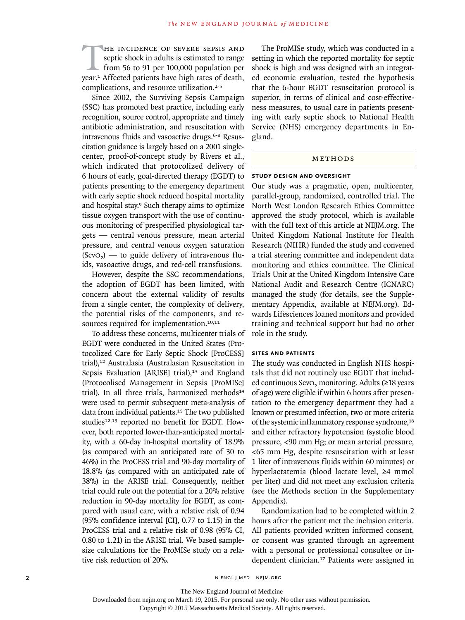THE INCIDENCE OF SEVERE SEPSIS AND septic shock in adults is estimated to range from 56 to 91 per 100,000 population per year.<sup>1</sup> Affected patients have high rates of death, septic shock in adults is estimated to range from 56 to 91 per 100,000 population per complications, and resource utilization.<sup>2-5</sup>

Since 2002, the Surviving Sepsis Campaign (SSC) has promoted best practice, including early recognition, source control, appropriate and timely antibiotic administration, and resuscitation with intravenous fluids and vasoactive drugs.<sup>6-8</sup> Resuscitation guidance is largely based on a 2001 singlecenter, proof-of-concept study by Rivers et al., which indicated that protocolized delivery of 6 hours of early, goal-directed therapy (EGDT) to patients presenting to the emergency department with early septic shock reduced hospital mortality and hospital stay.<sup>9</sup> Such therapy aims to optimize tissue oxygen transport with the use of continuous monitoring of prespecified physiological targets — central venous pressure, mean arterial pressure, and central venous oxygen saturation  $(Scvo<sub>2</sub>)$  — to guide delivery of intravenous fluids, vasoactive drugs, and red-cell transfusions.

However, despite the SSC recommendations, the adoption of EGDT has been limited, with concern about the external validity of results from a single center, the complexity of delivery, the potential risks of the components, and resources required for implementation.<sup>10,11</sup>

To address these concerns, multicenter trials of EGDT were conducted in the United States (Protocolized Care for Early Septic Shock [ProCESS] trial),12 Australasia (Australasian Resuscitation in Sepsis Evaluation [ARISE] trial),<sup>13</sup> and England (Protocolised Management in Sepsis [ProMISe] trial). In all three trials, harmonized methods<sup>14</sup> were used to permit subsequent meta-analysis of data from individual patients.<sup>15</sup> The two published studies<sup>12,13</sup> reported no benefit for EGDT. However, both reported lower-than-anticipated mortality, with a 60-day in-hospital mortality of 18.9% (as compared with an anticipated rate of 30 to 46%) in the ProCESS trial and 90-day mortality of 18.8% (as compared with an anticipated rate of 38%) in the ARISE trial. Consequently, neither trial could rule out the potential for a 20% relative reduction in 90-day mortality for EGDT, as compared with usual care, with a relative risk of 0.94 (95% confidence interval [CI], 0.77 to 1.15) in the ProCESS trial and a relative risk of 0.98 (95% CI, 0.80 to 1.21) in the ARISE trial. We based samplesize calculations for the ProMISe study on a relative risk reduction of 20%.

The ProMISe study, which was conducted in a setting in which the reported mortality for septic shock is high and was designed with an integrated economic evaluation, tested the hypothesis that the 6-hour EGDT resuscitation protocol is superior, in terms of clinical and cost-effectiveness measures, to usual care in patients presenting with early septic shock to National Health Service (NHS) emergency departments in England.

## **METHODS**

#### **Study Design and Oversight**

Our study was a pragmatic, open, multicenter, parallel-group, randomized, controlled trial. The North West London Research Ethics Committee approved the study protocol, which is available with the full text of this article at NEJM.org. The United Kingdom National Institute for Health Research (NIHR) funded the study and convened a trial steering committee and independent data monitoring and ethics committee. The Clinical Trials Unit at the United Kingdom Intensive Care National Audit and Research Centre (ICNARC) managed the study (for details, see the Supplementary Appendix, available at NEJM.org). Edwards Lifesciences loaned monitors and provided training and technical support but had no other role in the study.

## **Sites and Patients**

The study was conducted in English NHS hospitals that did not routinely use EGDT that included continuous ScvO<sub>2</sub> monitoring. Adults (≥18 years of age) were eligible if within 6 hours after presentation to the emergency department they had a known or presumed infection, two or more criteria of the systemic inflammatory response syndrome,<sup>16</sup> and either refractory hypotension (systolic blood pressure, <90 mm Hg; or mean arterial pressure, <65 mm Hg, despite resuscitation with at least 1 liter of intravenous fluids within 60 minutes) or hyperlactatemia (blood lactate level, ≥4 mmol per liter) and did not meet any exclusion criteria (see the Methods section in the Supplementary Appendix).

Randomization had to be completed within 2 hours after the patient met the inclusion criteria. All patients provided written informed consent, or consent was granted through an agreement with a personal or professional consultee or independent clinician.17 Patients were assigned in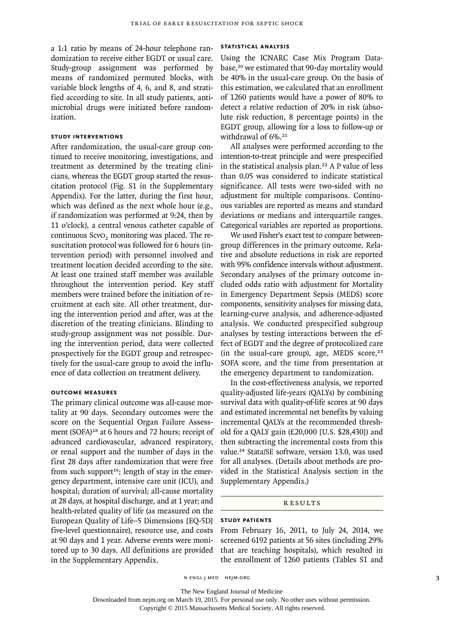a 1:1 ratio by means of 24-hour telephone randomization to receive either EGDT or usual care. Study-group assignment was performed by means of randomized permuted blocks, with variable block lengths of 4, 6, and 8, and stratified according to site. In all study patients, antimicrobial drugs were initiated before randomization.

## **Study Interventions**

After randomization, the usual-care group continued to receive monitoring, investigations, and treatment as determined by the treating clinicians, whereas the EGDT group started the resuscitation protocol (Fig. S1 in the Supplementary Appendix). For the latter, during the first hour, which was defined as the next whole hour (e.g., if randomization was performed at 9:24, then by 11 o'clock), a central venous catheter capable of continuous ScvO<sub>2</sub> monitoring was placed. The resuscitation protocol was followed for 6 hours (intervention period) with personnel involved and treatment location decided according to the site. At least one trained staff member was available throughout the intervention period. Key staff members were trained before the initiation of recruitment at each site. All other treatment, during the intervention period and after, was at the discretion of the treating clinicians. Blinding to study-group assignment was not possible. During the intervention period, data were collected prospectively for the EGDT group and retrospectively for the usual-care group to avoid the influence of data collection on treatment delivery.

## **Outcome Measures**

The primary clinical outcome was all-cause mortality at 90 days. Secondary outcomes were the score on the Sequential Organ Failure Assessment (SOFA)<sup>18</sup> at 6 hours and 72 hours; receipt of advanced cardiovascular, advanced respiratory, or renal support and the number of days in the first 28 days after randomization that were free from such support<sup>19</sup>; length of stay in the emergency department, intensive care unit (ICU), and hospital; duration of survival; all-cause mortality at 28 days, at hospital discharge, and at 1 year; and health-related quality of life (as measured on the European Quality of Life–5 Dimensions [EQ-5D] five-level questionnaire), resource use, and costs at 90 days and 1 year. Adverse events were monitored up to 30 days. All definitions are provided in the Supplementary Appendix.

## **Statistical Analysis**

Using the ICNARC Case Mix Program Database,<sup>20</sup> we estimated that 90-day mortality would be 40% in the usual-care group. On the basis of this estimation, we calculated that an enrollment of 1260 patients would have a power of 80% to detect a relative reduction of 20% in risk (absolute risk reduction, 8 percentage points) in the EGDT group, allowing for a loss to follow-up or withdrawal of 6%.<sup>21</sup>

All analyses were performed according to the intention-to-treat principle and were prespecified in the statistical analysis plan.22 A P value of less than 0.05 was considered to indicate statistical significance. All tests were two-sided with no adjustment for multiple comparisons. Continuous variables are reported as means and standard deviations or medians and interquartile ranges. Categorical variables are reported as proportions.

We used Fisher's exact test to compare betweengroup differences in the primary outcome. Relative and absolute reductions in risk are reported with 95% confidence intervals without adjustment. Secondary analyses of the primary outcome included odds ratio with adjustment for Mortality in Emergency Department Sepsis (MEDS) score components, sensitivity analyses for missing data, learning-curve analysis, and adherence-adjusted analysis. We conducted prespecified subgroup analyses by testing interactions between the effect of EGDT and the degree of protocolized care (in the usual-care group), age, MEDS score, $23$ SOFA score, and the time from presentation at the emergency department to randomization.

In the cost-effectiveness analysis, we reported quality-adjusted life-years (QALYs) by combining survival data with quality-of-life scores at 90 days and estimated incremental net benefits by valuing incremental QALYs at the recommended threshold for a QALY gain (£20,000 [U.S. \$28,430]) and then subtracting the incremental costs from this value.24 Stata/SE software, version 13.0, was used for all analyses. (Details about methods are provided in the Statistical Analysis section in the Supplementary Appendix.)

#### Results

## **Study Patients**

From February 16, 2011, to July 24, 2014, we screened 6192 patients at 56 sites (including 29% that are teaching hospitals), which resulted in the enrollment of 1260 patients (Tables S1 and

n engl j med nejm.org 3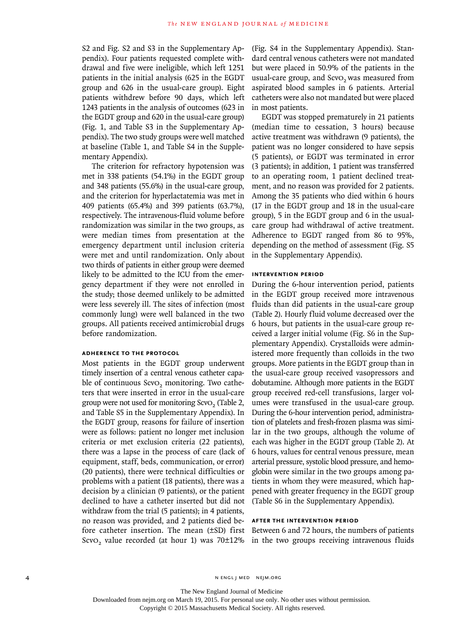S2 and Fig. S2 and S3 in the Supplementary Appendix). Four patients requested complete withdrawal and five were ineligible, which left 1251 patients in the initial analysis (625 in the EGDT group and 626 in the usual-care group). Eight patients withdrew before 90 days, which left 1243 patients in the analysis of outcomes (623 in the EGDT group and 620 in the usual-care group) (Fig. 1, and Table S3 in the Supplementary Appendix). The two study groups were well matched at baseline (Table 1, and Table S4 in the Supplementary Appendix).

The criterion for refractory hypotension was met in 338 patients (54.1%) in the EGDT group and 348 patients (55.6%) in the usual-care group, and the criterion for hyperlactatemia was met in 409 patients (65.4%) and 399 patients (63.7%), respectively. The intravenous-fluid volume before randomization was similar in the two groups, as were median times from presentation at the emergency department until inclusion criteria were met and until randomization. Only about two thirds of patients in either group were deemed likely to be admitted to the ICU from the emergency department if they were not enrolled in the study; those deemed unlikely to be admitted were less severely ill. The sites of infection (most commonly lung) were well balanced in the two groups. All patients received antimicrobial drugs before randomization.

## **Adherence to the Protocol**

Most patients in the EGDT group underwent timely insertion of a central venous catheter capable of continuous ScvO<sub>2</sub> monitoring. Two catheters that were inserted in error in the usual-care group were not used for monitoring ScvO<sub>2</sub> (Table 2, and Table S5 in the Supplementary Appendix). In the EGDT group, reasons for failure of insertion were as follows: patient no longer met inclusion criteria or met exclusion criteria (22 patients), there was a lapse in the process of care (lack of equipment, staff, beds, communication, or error) (20 patients), there were technical difficulties or problems with a patient (18 patients), there was a decision by a clinician (9 patients), or the patient declined to have a catheter inserted but did not withdraw from the trial (5 patients); in 4 patients, no reason was provided, and 2 patients died before catheter insertion. The mean (±SD) first ScvO<sub>2</sub> value recorded (at hour 1) was 70 $\pm$ 12% in the two groups receiving intravenous fluids

(Fig. S4 in the Supplementary Appendix). Standard central venous catheters were not mandated but were placed in 50.9% of the patients in the usual-care group, and ScvO<sub>2</sub> was measured from aspirated blood samples in 6 patients. Arterial catheters were also not mandated but were placed in most patients.

EGDT was stopped prematurely in 21 patients (median time to cessation, 3 hours) because active treatment was withdrawn (9 patients), the patient was no longer considered to have sepsis (5 patients), or EGDT was terminated in error (3 patients); in addition, 1 patient was transferred to an operating room, 1 patient declined treatment, and no reason was provided for 2 patients. Among the 35 patients who died within 6 hours (17 in the EGDT group and 18 in the usual-care group), 5 in the EGDT group and 6 in the usualcare group had withdrawal of active treatment. Adherence to EGDT ranged from 86 to 95%, depending on the method of assessment (Fig. S5 in the Supplementary Appendix).

## **Intervention Period**

During the 6-hour intervention period, patients in the EGDT group received more intravenous fluids than did patients in the usual-care group (Table 2). Hourly fluid volume decreased over the 6 hours, but patients in the usual-care group received a larger initial volume (Fig. S6 in the Supplementary Appendix). Crystalloids were administered more frequently than colloids in the two groups. More patients in the EGDT group than in the usual-care group received vasopressors and dobutamine. Although more patients in the EGDT group received red-cell transfusions, larger volumes were transfused in the usual-care group. During the 6-hour intervention period, administration of platelets and fresh-frozen plasma was similar in the two groups, although the volume of each was higher in the EGDT group (Table 2). At 6 hours, values for central venous pressure, mean arterial pressure, systolic blood pressure, and hemoglobin were similar in the two groups among patients in whom they were measured, which happened with greater frequency in the EGDT group (Table S6 in the Supplementary Appendix).

### **After the Intervention Period**

Between 6 and 72 hours, the numbers of patients

The New England Journal of Medicine

Downloaded from nejm.org on March 19, 2015. For personal use only. No other uses without permission.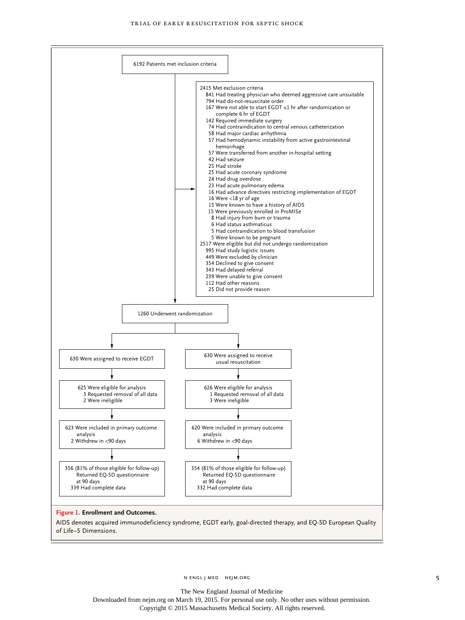

The New England Journal of Medicine

Downloaded from nejm.org on March 19, 2015. For personal use only. No other uses without permission. Copyright © 2015 Massachusetts Medical Society. All rights reserved.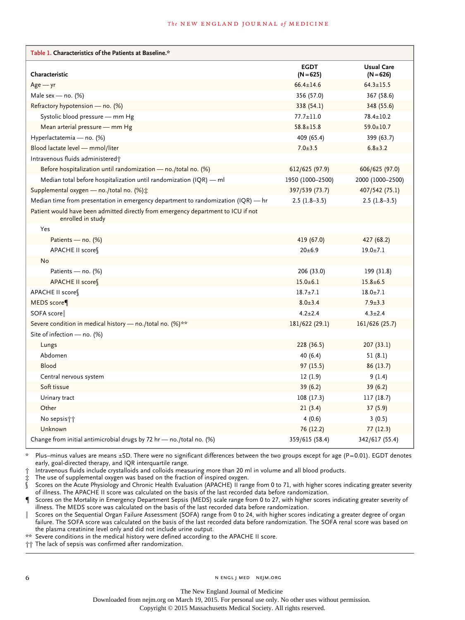#### **The NEW ENGLAND JOURNAL of MEDICINE**

| Table 1. Characteristics of the Patients at Baseline.*                                                 |                            |                                  |
|--------------------------------------------------------------------------------------------------------|----------------------------|----------------------------------|
| Characteristic                                                                                         | <b>EGDT</b><br>$(N = 625)$ | <b>Usual Care</b><br>$(N = 626)$ |
| $Age - yr$                                                                                             | $66.4 \pm 14.6$            | $64.3 \pm 15.5$                  |
| Male sex — no. $(\%)$                                                                                  | 356 (57.0)                 | 367 (58.6)                       |
| Refractory hypotension — no. (%)                                                                       | 338 (54.1)                 | 348 (55.6)                       |
| Systolic blood pressure - mm Hg                                                                        | $77.7 \pm 11.0$            | $78.4 \pm 10.2$                  |
| Mean arterial pressure - mm Hg                                                                         | $58.8 \pm 15.8$            | $59.0 \pm 10.7$                  |
| Hyperlactatemia - no. (%)                                                                              | 409 (65.4)                 | 399 (63.7)                       |
| Blood lactate level - mmol/liter                                                                       | $7.0 \pm 3.5$              | $6.8 \pm 3.2$                    |
| Intravenous fluids administered;                                                                       |                            |                                  |
| Before hospitalization until randomization - no./total no. (%)                                         | 612/625 (97.9)             | 606/625 (97.0)                   |
| Median total before hospitalization until randomization (IQR) $-$ ml                                   | 1950 (1000-2500)           | 2000 (1000-2500)                 |
| Supplemental oxygen - no./total no. (%) *                                                              | 397/539 (73.7)             | 407/542 (75.1)                   |
| Median time from presentation in emergency department to randomization (IQR) — hr                      | $2.5(1.8-3.5)$             | $2.5(1.8-3.5)$                   |
| Patient would have been admitted directly from emergency department to ICU if not<br>enrolled in study |                            |                                  |
| Yes                                                                                                    |                            |                                  |
| Patients — no. $(\%)$                                                                                  | 419 (67.0)                 | 427 (68.2)                       |
| APACHE II score                                                                                        | $20+6.9$                   | $19.0 + 7.1$                     |
| No                                                                                                     |                            |                                  |
| Patients — no. $(\%)$                                                                                  | 206 (33.0)                 | 199 (31.8)                       |
| APACHE II score                                                                                        | $15.0 \pm 6.1$             | $15.8 \pm 6.5$                   |
| APACHE II score                                                                                        | $18.7 + 7.1$               | $18.0 \pm 7.1$                   |
| MEDS score                                                                                             | $8.0 \pm 3.4$              | $7.9 \pm 3.3$                    |
| SOFA score                                                                                             | $4.2 \pm 2.4$              | $4.3 \pm 2.4$                    |
| Severe condition in medical history - no./total no. (%)**                                              | 181/622 (29.1)             | 161/626 (25.7)                   |
| Site of infection - no. (%)                                                                            |                            |                                  |
| Lungs                                                                                                  | 228 (36.5)                 | 207(33.1)                        |
| Abdomen                                                                                                | 40 (6.4)                   | 51 (8.1)                         |
| Blood                                                                                                  | 97(15.5)                   | 86 (13.7)                        |
| Central nervous system                                                                                 | 12(1.9)                    | 9 (1.4)                          |
| Soft tissue                                                                                            | 39(6.2)                    | 39 (6.2)                         |
| Urinary tract                                                                                          | 108(17.3)                  | 117(18.7)                        |
| Other                                                                                                  | 21(3.4)                    | 37(5.9)                          |
| No sepsis††                                                                                            | 4(0.6)                     | 3(0.5)                           |
| Unknown                                                                                                | 76 (12.2)                  | 77 (12.3)                        |
| Change from initial antimicrobial drugs by 72 hr — no./total no. $(\%)$                                | 359/615 (58.4)             | 342/617 (55.4)                   |

\* Plus–minus values are means ±SD. There were no significant differences between the two groups except for age (P=0.01). EGDT denotes early, goal-directed therapy, and IQR interquartile range.

† Intravenous fluids include crystalloids and colloids measuring more than 20 ml in volume and all blood products.

The use of supplemental oxygen was based on the fraction of inspired oxygen.

§ Scores on the Acute Physiology and Chronic Health Evaluation (APACHE) II range from 0 to 71, with higher scores indicating greater severity of illness. The APACHE II score was calculated on the basis of the last recorded data before randomization.

Scores on the Mortality in Emergency Department Sepsis (MEDS) scale range from 0 to 27, with higher scores indicating greater severity of illness. The MEDS score was calculated on the basis of the last recorded data before randomization.

Scores on the Sequential Organ Failure Assessment (SOFA) range from 0 to 24, with higher scores indicating a greater degree of organ failure. The SOFA score was calculated on the basis of the last recorded data before randomization. The SOFA renal score was based on

the plasma creatinine level only and did not include urine output.

\*\* Severe conditions in the medical history were defined according to the APACHE II score.

†† The lack of sepsis was confirmed after randomization.

The New England Journal of Medicine

Downloaded from nejm.org on March 19, 2015. For personal use only. No other uses without permission.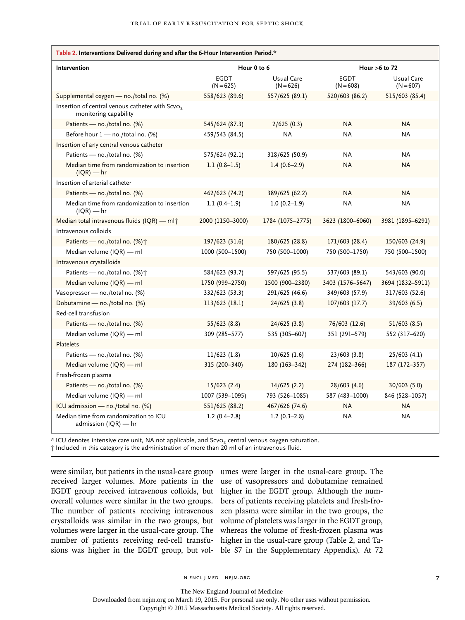| Table 2. Interventions Delivered during and after the 6-Hour Intervention Period.*   |                            |                           |                            |                           |
|--------------------------------------------------------------------------------------|----------------------------|---------------------------|----------------------------|---------------------------|
| Intervention                                                                         | Hour 0 to 6                |                           | Hour $>6$ to 72            |                           |
|                                                                                      | <b>EGDT</b><br>$(N = 625)$ | Usual Care<br>$(N = 626)$ | <b>EGDT</b><br>$(N = 608)$ | Usual Care<br>$(N = 607)$ |
| Supplemental oxygen - no./total no. (%)                                              | 558/623 (89.6)             | 557/625 (89.1)            | 520/603 (86.2)             | 515/603 (85.4)            |
| Insertion of central venous catheter with Scvo <sub>2</sub><br>monitoring capability |                            |                           |                            |                           |
| Patients - no./total no. (%)                                                         | 545/624 (87.3)             | 2/625(0.3)                | <b>NA</b>                  | <b>NA</b>                 |
| Before hour 1 - no./total no. (%)                                                    | 459/543 (84.5)             | <b>NA</b>                 | <b>NA</b>                  | <b>NA</b>                 |
| Insertion of any central venous catheter                                             |                            |                           |                            |                           |
| Patients - no./total no. (%)                                                         | 575/624 (92.1)             | 318/625 (50.9)            | ΝA                         | <b>NA</b>                 |
| Median time from randomization to insertion<br>$I(QR)$ — hr                          | $1.1(0.8-1.5)$             | $1.4(0.6-2.9)$            | <b>NA</b>                  | <b>NA</b>                 |
| Insertion of arterial catheter                                                       |                            |                           |                            |                           |
| Patients - no./total no. (%)                                                         | 462/623 (74.2)             | 389/625 (62.2)            | <b>NA</b>                  | <b>NA</b>                 |
| Median time from randomization to insertion<br>$(IQR)$ — hr                          | $1.1(0.4-1.9)$             | $1.0(0.2-1.9)$            | ΝA                         | ΝA                        |
| Median total intravenous fluids (IQR) - ml <sup>+</sup>                              | 2000 (1150-3000)           | 1784 (1075-2775)          | 3623 (1800-6060)           | 3981 (1895-6291)          |
| Intravenous colloids                                                                 |                            |                           |                            |                           |
| Patients - no./total no. (%) <sup>+</sup>                                            | 197/623 (31.6)             | 180/625 (28.8)            | 171/603 (28.4)             | 150/603 (24.9)            |
| Median volume (IQR) - ml                                                             | 1000 (500-1500)            | 750 (500-1000)            | 750 (500-1750)             | 750 (500-1500)            |
| Intravenous crystalloids                                                             |                            |                           |                            |                           |
| Patients - no./total no. (%)+                                                        | 584/623 (93.7)             | 597/625 (95.5)            | 537/603 (89.1)             | 543/603 (90.0)            |
| Median volume (IQR) — ml                                                             | 1750 (999-2750)            | 1500 (900-2380)           | 3403 (1576-5647)           | 3694 (1832-5911)          |
| Vasopressor - no./total no. (%)                                                      | 332/623 (53.3)             | 291/625 (46.6)            | 349/603 (57.9)             | 317/603 (52.6)            |
| Dobutamine - no./total no. (%)                                                       | 113/623 (18.1)             | 24/625(3.8)               | 107/603 (17.7)             | 39/603 (6.5)              |
| Red-cell transfusion                                                                 |                            |                           |                            |                           |
| Patients - no./total no. (%)                                                         | 55/623(8.8)                | 24/625 (3.8)              | 76/603 (12.6)              | 51/603 (8.5)              |
| Median volume (IQR) - ml                                                             | 309 (285-577)              | 535 (305-607)             | 351 (291-579)              | 552 (317-620)             |
| Platelets                                                                            |                            |                           |                            |                           |
| Patients - no./total no. (%)                                                         | 11/623(1.8)                | $10/625$ (1.6)            | 23/603(3.8)                | 25/603 (4.1)              |
| Median volume (IQR) — ml                                                             | 315 (200-340)              | 180 (163-342)             | 274 (182-366)              | 187 (172-357)             |
| Fresh-frozen plasma                                                                  |                            |                           |                            |                           |
| Patients - no./total no. (%)                                                         | 15/623(2.4)                | 14/625(2.2)               | 28/603(4.6)                | 30/603 (5.0)              |
| Median volume (IQR) — ml                                                             | 1007 (539-1095)            | 793 (526-1085)            | 587 (483-1000)             | 846 (528-1057)            |
| ICU admission - no./total no. (%)                                                    | 551/625 (88.2)             | 467/626 (74.6)            | <b>NA</b>                  | <b>NA</b>                 |
| Median time from randomization to ICU<br>admission $(IQR)$ — hr                      | $1.2(0.4-2.8)$             | $1.2(0.3-2.8)$            | ΝA                         | <b>NA</b>                 |

\* ICU denotes intensive care unit, NA not applicable, and ScvO2 central venous oxygen saturation.

† Included in this category is the administration of more than 20 ml of an intravenous fluid.

were similar, but patients in the usual-care group umes were larger in the usual-care group. The received larger volumes. More patients in the EGDT group received intravenous colloids, but overall volumes were similar in the two groups. The number of patients receiving intravenous crystalloids was similar in the two groups, but volumes were larger in the usual-care group. The number of patients receiving red-cell transfusions was higher in the EGDT group, but vol-

use of vasopressors and dobutamine remained higher in the EGDT group. Although the numbers of patients receiving platelets and fresh-frozen plasma were similar in the two groups, the volume of platelets was larger in the EGDT group, whereas the volume of fresh-frozen plasma was higher in the usual-care group (Table 2, and Table S7 in the Supplementary Appendix). At 72

n engl j med nejm.org 7

The New England Journal of Medicine

Downloaded from nejm.org on March 19, 2015. For personal use only. No other uses without permission.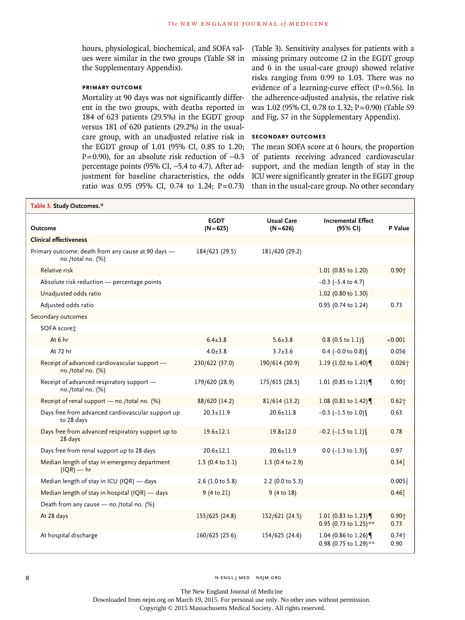hours, physiological, biochemical, and SOFA values were similar in the two groups (Table S8 in the Supplementary Appendix).

## **Primary Outcome**

Mortality at 90 days was not significantly different in the two groups, with deaths reported in 184 of 623 patients (29.5%) in the EGDT group versus 181 of 620 patients (29.2%) in the usualcare group, with an unadjusted relative risk in the EGDT group of 1.01 (95% CI, 0.85 to 1.20; P=0.90), for an absolute risk reduction of -0.3 percentage points (95% CI, −5.4 to 4.7). After adjustment for baseline characteristics, the odds ratio was 0.95 (95% CI, 0.74 to 1.24; P=0.73)

(Table 3). Sensitivity analyses for patients with a missing primary outcome (2 in the EGDT group and 6 in the usual-care group) showed relative risks ranging from 0.99 to 1.03. There was no evidence of a learning-curve effect  $(P=0.56)$ . In the adherence-adjusted analysis, the relative risk was 1.02 (95% CI, 0.78 to 1.32; P=0.90) (Table S9 and Fig. S7 in the Supplementary Appendix).

## **Secondary Outcomes**

The mean SOFA score at 6 hours, the proportion of patients receiving advanced cardiovascular support, and the median length of stay in the ICU were significantly greater in the EGDT group than in the usual-care group. No other secondary

| Table 3. Study Outcomes.*                                               |                             |                                  |                                              |                  |
|-------------------------------------------------------------------------|-----------------------------|----------------------------------|----------------------------------------------|------------------|
| <b>Outcome</b>                                                          | <b>EGDT</b><br>$(N = 625)$  | <b>Usual Care</b><br>$(N = 626)$ | <b>Incremental Effect</b><br>(95% CI)        | P Value          |
| <b>Clinical effectiveness</b>                                           |                             |                                  |                                              |                  |
| Primary outcome: death from any cause at 90 days -<br>no./total no. (%) | 184/623 (29.5)              | 181/620 (29.2)                   |                                              |                  |
| Relative risk                                                           |                             |                                  | 1.01 (0.85 to 1.20)                          | $0.90 +$         |
| Absolute risk reduction - percentage points                             |                             |                                  | $-0.3$ ( $-5.4$ to 4.7)                      |                  |
| Unadjusted odds ratio                                                   |                             |                                  | 1.02 (0.80 to 1.30)                          |                  |
| Adjusted odds ratio                                                     |                             |                                  | 0.95 (0.74 to 1.24)                          | 0.73             |
| Secondary outcomes                                                      |                             |                                  |                                              |                  |
| SOFA scoret:                                                            |                             |                                  |                                              |                  |
| At 6 hr                                                                 | $6.4 \pm 3.8$               | $5.6 \pm 3.8$                    | $0.8$ (0.5 to 1.1) §                         | < 0.001          |
| At 72 hr                                                                | $4.0 + 3.8$                 | $3.7 + 3.6$                      | 0.4 (-0.0 to $0.8$ )                         | 0.056            |
| Receipt of advanced cardiovascular support -<br>no./total no. (%)       | 230/622 (37.0)              | 190/614 (30.9)                   | 1.19 (1.02 to 1.40)                          | $0.026 +$        |
| Receipt of advanced respiratory support -<br>no./total no. (%)          | 179/620 (28.9)              | 175/615 (28.5)                   | 1.01 (0.85 to 1.21)                          | $0.90 +$         |
| Receipt of renal support - no./total no. (%)                            | 88/620 (14.2)               | 81/614(13.2)                     | 1.08 (0.81 to 1.42)                          | $0.62 +$         |
| Days free from advanced cardiovascular support up<br>to 28 days         | $20.3 \pm 11.9$             | $20.6 \pm 11.8$                  | $-0.3$ (-1.5 to 1.0) §                       | 0.63             |
| Days free from advanced respiratory support up to<br>28 days            | $19.6 \pm 12.1$             | $19.8 \pm 12.0$                  | $-0.2$ (-1.5 to 1.1)                         | 0.78             |
| Days free from renal support up to 28 days                              | $20.6 \pm 12.1$             | $20.6 + 11.9$                    | $0.0$ (-1.3 to 1.3) \                        | 0.97             |
| Median length of stay in emergency department<br>$I(QR)$ — hr           | 1.5 $(0.4 \text{ to } 3.1)$ | 1.3 (0.4 to 2.9)                 |                                              | 0.34             |
| Median length of stay in ICU (IQR) - days                               | 2.6 (1.0 to 5.8)            | 2.2 (0.0 to 5.3)                 |                                              | 0.005            |
| Median length of stay in hospital (IQR) - days                          | 9 (4 to 21)                 | 9(4 to 18)                       |                                              | 0.46             |
| Death from any cause - no./total no. (%)                                |                             |                                  |                                              |                  |
| At 28 days                                                              | 155/625 (24.8)              | 152/621 (24.5)                   | 1.01 (0.83 to 1.23)<br>0.95 (0.73 to 1.25)** | $0.90 +$<br>0.73 |
| At hospital discharge                                                   | 160/625 (25.6)              | 154/625 (24.6)                   | 1.04 (0.86 to 1.26)<br>0.98 (0.75 to 1.29)** | $0.74 +$<br>0.90 |

The New England Journal of Medicine

Downloaded from nejm.org on March 19, 2015. For personal use only. No other uses without permission.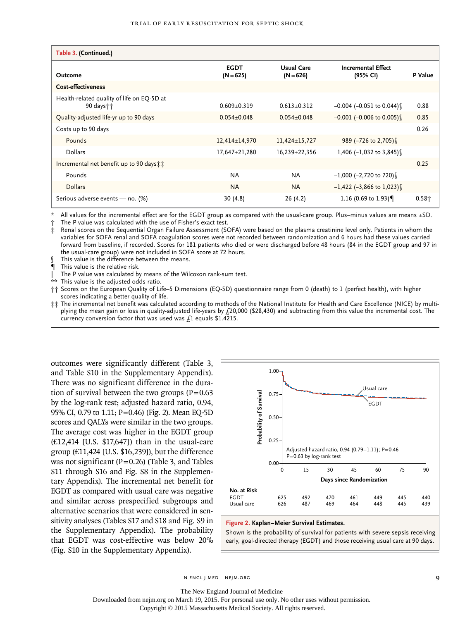| Table 3. (Continued.)                                     |                            |                                  |                                       |          |
|-----------------------------------------------------------|----------------------------|----------------------------------|---------------------------------------|----------|
| Outcome                                                   | <b>EGDT</b><br>$(N = 625)$ | <b>Usual Care</b><br>$(N = 626)$ | <b>Incremental Effect</b><br>(95% CI) | P Value  |
| <b>Cost-effectiveness</b>                                 |                            |                                  |                                       |          |
| Health-related quality of life on EQ-5D at<br>90 days † † | $0.609 + 0.319$            | $0.613+0.312$                    | $-0.004$ ( $-0.051$ to $0.044$ )      | 0.88     |
| Quality-adjusted life-yr up to 90 days                    | $0.054 \pm 0.048$          | $0.054 \pm 0.048$                | $-0.001$ (-0.006 to 0.005)            | 0.85     |
| Costs up to 90 days                                       |                            |                                  |                                       | 0.26     |
| Pounds                                                    | $12,414\pm 14,970$         | $11,424\pm 15,727$               | 989 (-726 to 2,705)                   |          |
| Dollars                                                   | 17,647±21,280              | 16,239±22,356                    | 1,406 $(-1,032)$ to 3,845)            |          |
| Incremental net benefit up to 90 days the                 |                            |                                  |                                       | 0.25     |
| Pounds                                                    | <b>NA</b>                  | <b>NA</b>                        | $-1,000$ (-2,720 to 720)              |          |
| <b>Dollars</b>                                            | <b>NA</b>                  | <b>NA</b>                        | $-1,422$ (-3,866 to 1,023)            |          |
| Serious adverse events - no. (%)                          | 30(4.8)                    | 26 (4.2)                         | 1.16 (0.69 to 1.93)                   | $0.58 +$ |

\* All values for the incremental effect are for the EGDT group as compared with the usual-care group. Plus–minus values are means ±SD.

The P value was calculated with the use of Fisher's exact test.

‡ Renal scores on the Sequential Organ Failure Assessment (SOFA) were based on the plasma creatinine level only. Patients in whom the variables for SOFA renal and SOFA coagulation scores were not recorded between randomization and 6 hours had these values carried forward from baseline, if recorded. Scores for 181 patients who died or were discharged before 48 hours (84 in the EGDT group and 97 in the usual-care group) were not included in SOFA score at 72 hours.

This value is the difference between the means.

This value is the relative risk.

The P value was calculated by means of the Wilcoxon rank-sum test.

This value is the adjusted odds ratio.

†† Scores on the European Quality of Life–5 Dimensions (EQ-5D) questionnaire range from 0 (death) to 1 (perfect health), with higher scores indicating a better quality of life.

‡‡ The incremental net benefit was calculated according to methods of the National Institute for Health and Care Excellence (NICE) by multiplying the mean gain or loss in quality-adjusted life-years by £20,000 (\$28,430) and subtracting from this value the incremental cost. The currency conversion factor that was used was  $f_1$  equals \$1.4215.

outcomes were significantly different (Table 3, and Table S10 in the Supplementary Appendix). There was no significant difference in the duration of survival between the two groups  $(P=0.63)$ by the log-rank test; adjusted hazard ratio, 0.94, 95% CI, 0.79 to 1.11; P=0.46) (Fig. 2). Mean EQ-5D scores and QALYs were similar in the two groups. The average cost was higher in the EGDT group (£12,414 [U.S. \$17,647]) than in the usual-care group (£11,424 [U.S. \$16,239]), but the difference was not significant ( $P=0.26$ ) (Table 3, and Tables S11 through S16 and Fig. S8 in the Supplementary Appendix). The incremental net benefit for EGDT as compared with usual care was negative and similar across prespecified subgroups and alternative scenarios that were considered in sensitivity analyses (Tables S17 and S18 and Fig. S9 in the Supplementary Appendix). The probability that EGDT was cost-effective was below 20% (Fig. S10 in the Supplementary Appendix).



**Figure 2. Kaplan–Meier Survival Estimates.**

Shown is the probability of survival for patients with severe sepsis receiving early, goal-directed therapy (EGDT) and those receiving usual care at 90 days.

n engl j med nejm.org 9

The New England Journal of Medicine

Downloaded from nejm.org on March 19, 2015. For personal use only. No other uses without permission.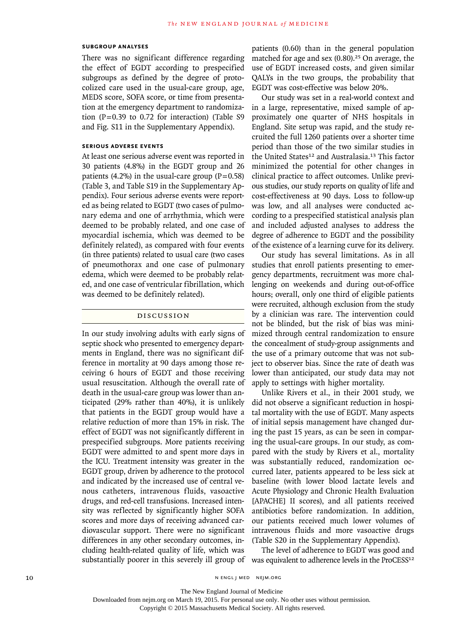### **Subgroup Analyses**

There was no significant difference regarding the effect of EGDT according to prespecified subgroups as defined by the degree of protocolized care used in the usual-care group, age, MEDS score, SOFA score, or time from presentation at the emergency department to randomization  $(P=0.39$  to 0.72 for interaction) (Table S9 and Fig. S11 in the Supplementary Appendix).

## **Serious Adverse Events**

At least one serious adverse event was reported in 30 patients (4.8%) in the EGDT group and 26 patients (4.2%) in the usual-care group ( $P=0.58$ ) (Table 3, and Table S19 in the Supplementary Appendix). Four serious adverse events were reported as being related to EGDT (two cases of pulmonary edema and one of arrhythmia, which were deemed to be probably related, and one case of myocardial ischemia, which was deemed to be definitely related), as compared with four events (in three patients) related to usual care (two cases of pneumothorax and one case of pulmonary edema, which were deemed to be probably related, and one case of ventricular fibrillation, which was deemed to be definitely related).

## Discussion

In our study involving adults with early signs of septic shock who presented to emergency departments in England, there was no significant difference in mortality at 90 days among those receiving 6 hours of EGDT and those receiving usual resuscitation. Although the overall rate of death in the usual-care group was lower than anticipated (29% rather than 40%), it is unlikely that patients in the EGDT group would have a relative reduction of more than 15% in risk. The effect of EGDT was not significantly different in prespecified subgroups. More patients receiving EGDT were admitted to and spent more days in the ICU. Treatment intensity was greater in the EGDT group, driven by adherence to the protocol and indicated by the increased use of central venous catheters, intravenous fluids, vasoactive drugs, and red-cell transfusions. Increased intensity was reflected by significantly higher SOFA scores and more days of receiving advanced cardiovascular support. There were no significant differences in any other secondary outcomes, including health-related quality of life, which was

patients (0.60) than in the general population matched for age and sex  $(0.80)$ .<sup>25</sup> On average, the use of EGDT increased costs, and given similar QALYs in the two groups, the probability that EGDT was cost-effective was below 20%.

Our study was set in a real-world context and in a large, representative, mixed sample of approximately one quarter of NHS hospitals in England. Site setup was rapid, and the study recruited the full 1260 patients over a shorter time period than those of the two similar studies in the United States<sup>12</sup> and Australasia.<sup>13</sup> This factor minimized the potential for other changes in clinical practice to affect outcomes. Unlike previous studies, our study reports on quality of life and cost-effectiveness at 90 days. Loss to follow-up was low, and all analyses were conducted according to a prespecified statistical analysis plan and included adjusted analyses to address the degree of adherence to EGDT and the possibility of the existence of a learning curve for its delivery.

Our study has several limitations. As in all studies that enroll patients presenting to emergency departments, recruitment was more challenging on weekends and during out-of-office hours; overall, only one third of eligible patients were recruited, although exclusion from the study by a clinician was rare. The intervention could not be blinded, but the risk of bias was minimized through central randomization to ensure the concealment of study-group assignments and the use of a primary outcome that was not subject to observer bias. Since the rate of death was lower than anticipated, our study data may not apply to settings with higher mortality.

Unlike Rivers et al., in their 2001 study, we did not observe a significant reduction in hospital mortality with the use of EGDT. Many aspects of initial sepsis management have changed during the past 15 years, as can be seen in comparing the usual-care groups. In our study, as compared with the study by Rivers et al., mortality was substantially reduced, randomization occurred later, patients appeared to be less sick at baseline (with lower blood lactate levels and Acute Physiology and Chronic Health Evaluation [APACHE] II scores), and all patients received antibiotics before randomization. In addition, our patients received much lower volumes of intravenous fluids and more vasoactive drugs (Table S20 in the Supplementary Appendix).

substantially poorer in this severely ill group of was equivalent to adherence levels in the ProCESS<sup>12</sup> The level of adherence to EGDT was good and